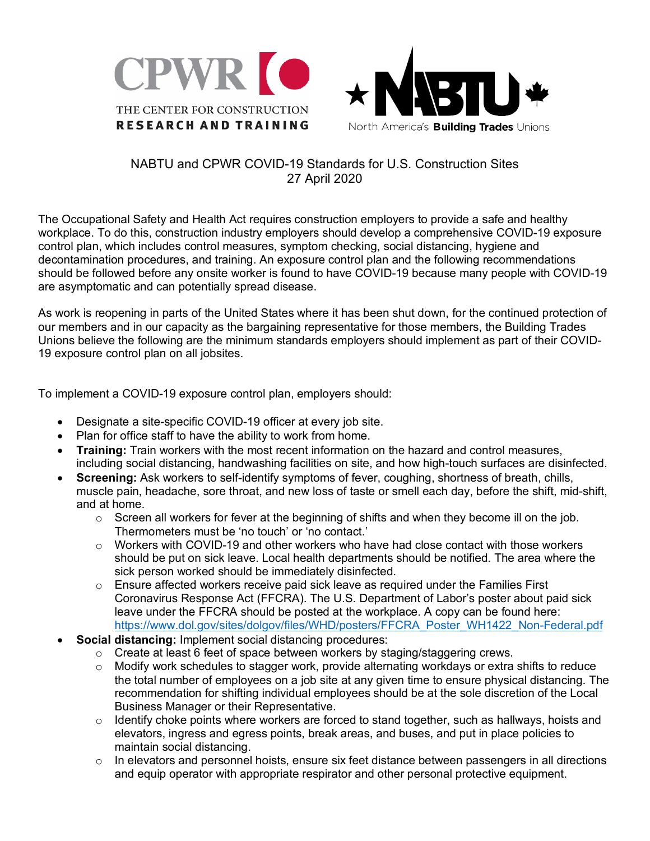



## NABTU and CPWR COVID-19 Standards for U.S. Construction Sites 27 April 2020

The Occupational Safety and Health Act requires construction employers to provide a safe and healthy workplace. To do this, construction industry employers should develop a comprehensive COVID-19 exposure control plan, which includes control measures, symptom checking, social distancing, hygiene and decontamination procedures, and training. An exposure control plan and the following recommendations should be followed before any onsite worker is found to have COVID-19 because many people with COVID-19 are asymptomatic and can potentially spread disease.

As work is reopening in parts of the United States where it has been shut down, for the continued protection of our members and in our capacity as the bargaining representative for those members, the Building Trades Unions believe the following are the minimum standards employers should implement as part of their COVID-19 exposure control plan on all jobsites.

To implement a COVID-19 exposure control plan, employers should:

- Designate a site-specific COVID-19 officer at every job site.
- Plan for office staff to have the ability to work from home.
- **Training:** Train workers with the most recent information on the hazard and control measures, including social distancing, handwashing facilities on site, and how high-touch surfaces are disinfected.
- **Screening:** Ask workers to self-identify symptoms of fever, coughing, shortness of breath, chills, muscle pain, headache, sore throat, and new loss of taste or smell each day, before the shift, mid-shift, and at home.
	- $\circ$  Screen all workers for fever at the beginning of shifts and when they become ill on the job. Thermometers must be 'no touch' or 'no contact.'
	- $\circ$  Workers with COVID-19 and other workers who have had close contact with those workers should be put on sick leave. Local health departments should be notified. The area where the sick person worked should be immediately disinfected.
	- $\circ$  Ensure affected workers receive paid sick leave as required under the Families First Coronavirus Response Act (FFCRA). The U.S. Department of Labor's poster about paid sick leave under the FFCRA should be posted at the workplace. A copy can be found here: https://www.dol.gov/sites/dolgov/files/WHD/posters/FFCRA\_Poster\_WH1422\_Non-Federal.pdf
- **Social distancing:** Implement social distancing procedures:
	- $\circ$  Create at least 6 feet of space between workers by staging/staggering crews.
	- o Modify work schedules to stagger work, provide alternating workdays or extra shifts to reduce the total number of employees on a job site at any given time to ensure physical distancing. The recommendation for shifting individual employees should be at the sole discretion of the Local Business Manager or their Representative.
	- $\circ$  Identify choke points where workers are forced to stand together, such as hallways, hoists and elevators, ingress and egress points, break areas, and buses, and put in place policies to maintain social distancing.
	- $\circ$  In elevators and personnel hoists, ensure six feet distance between passengers in all directions and equip operator with appropriate respirator and other personal protective equipment.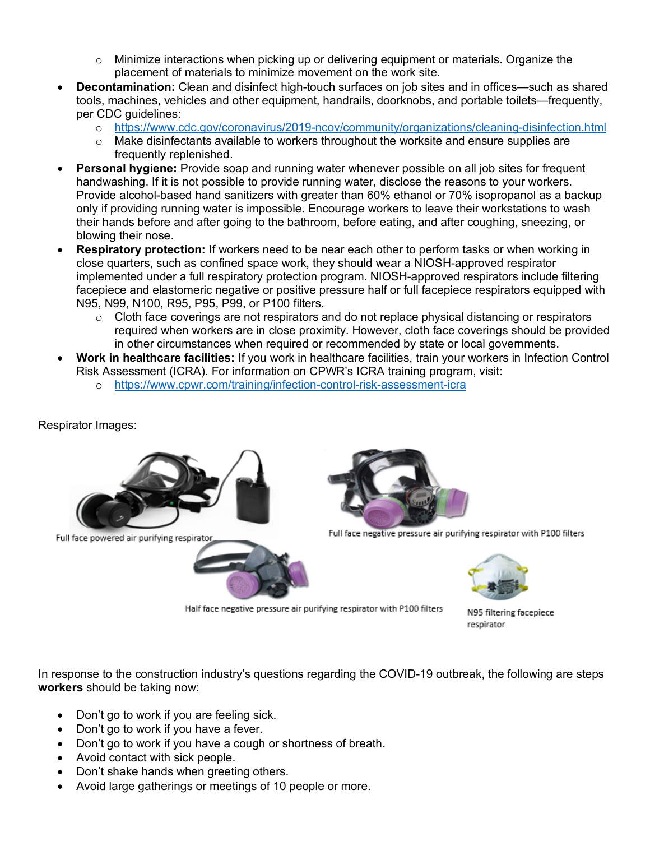- $\circ$  Minimize interactions when picking up or delivering equipment or materials. Organize the placement of materials to minimize movement on the work site.
- **Decontamination:** Clean and disinfect high-touch surfaces on job sites and in offices—such as shared tools, machines, vehicles and other equipment, handrails, doorknobs, and portable toilets—frequently, per CDC guidelines:
	- o https://www.cdc.gov/coronavirus/2019-ncov/community/organizations/cleaning-disinfection.html
	- $\circ$  Make disinfectants available to workers throughout the worksite and ensure supplies are frequently replenished.
- **Personal hygiene:** Provide soap and running water whenever possible on all job sites for frequent handwashing. If it is not possible to provide running water, disclose the reasons to your workers. Provide alcohol-based hand sanitizers with greater than 60% ethanol or 70% isopropanol as a backup only if providing running water is impossible. Encourage workers to leave their workstations to wash their hands before and after going to the bathroom, before eating, and after coughing, sneezing, or blowing their nose.
- **Respiratory protection:** If workers need to be near each other to perform tasks or when working in close quarters, such as confined space work, they should wear a NIOSH-approved respirator implemented under a full respiratory protection program. NIOSH-approved respirators include filtering facepiece and elastomeric negative or positive pressure half or full facepiece respirators equipped with N95, N99, N100, R95, P95, P99, or P100 filters.
	- $\circ$  Cloth face coverings are not respirators and do not replace physical distancing or respirators required when workers are in close proximity. However, cloth face coverings should be provided in other circumstances when required or recommended by state or local governments.
- **Work in healthcare facilities:** If you work in healthcare facilities, train your workers in Infection Control Risk Assessment (ICRA). For information on CPWR's ICRA training program, visit:
	- o https://www.cpwr.com/training/infection-control-risk-assessment-icra

## Respirator Images:



Full face powered air purifying respirato



Full face negative pressure air purifying respirator with P100 filters



Half face negative pressure air purifying respirator with P100 filters

N95 filtering facepiece respirator

In response to the construction industry's questions regarding the COVID-19 outbreak, the following are steps **workers** should be taking now:

- Don't go to work if you are feeling sick.
- Don't go to work if you have a fever.
- Don't go to work if you have a cough or shortness of breath.
- Avoid contact with sick people.
- Don't shake hands when greeting others.
- Avoid large gatherings or meetings of 10 people or more.